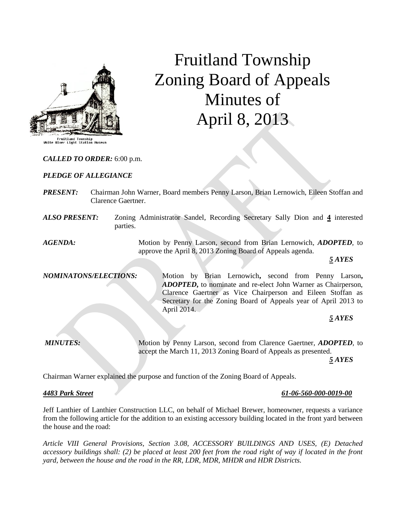

# Fruitland Township Zoning Board of Appeals Minutes of April 8, 2013

*CALLED TO ORDER:* 6:00 p.m.

#### *PLEDGE OF ALLEGIANCE*

- *PRESENT:* Chairman John Warner, Board members Penny Larson, Brian Lernowich, Eileen Stoffan and Clarence Gaertner.
- *ALSO PRESENT:* Zoning Administrator Sandel, Recording Secretary Sally Dion and **4** interested parties.

*AGENDA:* Motion by Penny Larson, second from Brian Lernowich, *ADOPTED,* to approve the April 8, 2013 Zoning Board of Appeals agenda.

*5 AYES*

*NOMINATONS/ELECTIONS:* Motion by Brian Lernowich**,** second from Penny Larson**,**  *ADOPTED***,** to nominate and re-elect John Warner as Chairperson, Clarence Gaertner as Vice Chairperson and Eileen Stoffan as Secretary for the Zoning Board of Appeals year of April 2013 to April 2014.

*5 AYES*

*MINUTES:* Motion by Penny Larson, second from Clarence Gaertner, *ADOPTED,* to accept the March 11, 2013 Zoning Board of Appeals as presented.

*5 AYES*

Chairman Warner explained the purpose and function of the Zoning Board of Appeals.

#### *4483 Park Street 61-06-560-000-0019-00*

Jeff Lanthier of Lanthier Construction LLC, on behalf of Michael Brewer, homeowner, requests a variance from the following article for the addition to an existing accessory building located in the front yard between the house and the road:

*Article VIII General Provisions, Section 3.08, ACCESSORY BUILDINGS AND USES, (E) Detached accessory buildings shall: (2) be placed at least 200 feet from the road right of way if located in the front yard, between the house and the road in the RR, LDR, MDR, MHDR and HDR Districts.*